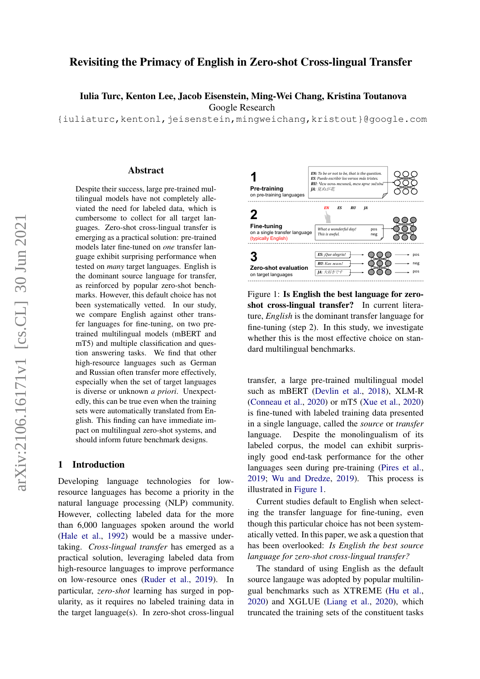# Revisiting the Primacy of English in Zero-shot Cross-lingual Transfer

Iulia Turc, Kenton Lee, Jacob Eisenstein, Ming-Wei Chang, Kristina Toutanova

Google Research

{iuliaturc,kentonl,jeisenstein,mingweichang,kristout}@google.com

#### Abstract

Despite their success, large pre-trained multilingual models have not completely alleviated the need for labeled data, which is cumbersome to collect for all target languages. Zero-shot cross-lingual transfer is emerging as a practical solution: pre-trained models later fine-tuned on *one* transfer language exhibit surprising performance when tested on *many* target languages. English is the dominant source language for transfer, as reinforced by popular zero-shot benchmarks. However, this default choice has not been systematically vetted. In our study, we compare English against other transfer languages for fine-tuning, on two pretrained multilingual models (mBERT and mT5) and multiple classification and question answering tasks. We find that other high-resource languages such as German and Russian often transfer more effectively, especially when the set of target languages is diverse or unknown *a priori*. Unexpectedly, this can be true even when the training sets were automatically translated from English. This finding can have immediate impact on multilingual zero-shot systems, and should inform future benchmark designs.

## 1 Introduction

Developing language technologies for lowresource languages has become a priority in the natural language processing (NLP) community. However, collecting labeled data for the more than 6,000 languages spoken around the world [\(Hale et al.,](#page-8-0) [1992\)](#page-8-0) would be a massive undertaking. *Cross-lingual transfer* has emerged as a practical solution, leveraging labeled data from high-resource languages to improve performance on low-resource ones [\(Ruder et al.,](#page-10-0) [2019\)](#page-10-0). In particular, *zero-shot* learning has surged in popularity, as it requires no labeled training data in the target language(s). In zero-shot cross-lingual

<span id="page-0-0"></span>

Figure 1: Is English the best language for zeroshot cross-lingual transfer? In current literature, *English* is the dominant transfer language for fine-tuning (step 2). In this study, we investigate whether this is the most effective choice on standard multilingual benchmarks.

transfer, a large pre-trained multilingual model such as mBERT [\(Devlin et al.,](#page-8-1) [2018\)](#page-8-1), XLM-R [\(Conneau et al.,](#page-8-2) [2020\)](#page-8-2) or mT5 [\(Xue et al.,](#page-10-1) [2020\)](#page-10-1) is fine-tuned with labeled training data presented in a single language, called the *source* or *transfer* language. Despite the monolingualism of its labeled corpus, the model can exhibit surprisingly good end-task performance for the other languages seen during pre-training [\(Pires et al.,](#page-9-0) [2019;](#page-9-0) [Wu and Dredze,](#page-10-2) [2019\)](#page-10-2). This process is illustrated in [Figure 1.](#page-0-0)

Current studies default to English when selecting the transfer language for fine-tuning, even though this particular choice has not been systematically vetted. In this paper, we ask a question that has been overlooked: *Is English the best source language for zero-shot cross-lingual transfer?*

The standard of using English as the default source langauge was adopted by popular multilingual benchmarks such as XTREME [\(Hu et al.,](#page-9-1) [2020\)](#page-9-1) and XGLUE [\(Liang et al.,](#page-9-2) [2020\)](#page-9-2), which truncated the training sets of the constituent tasks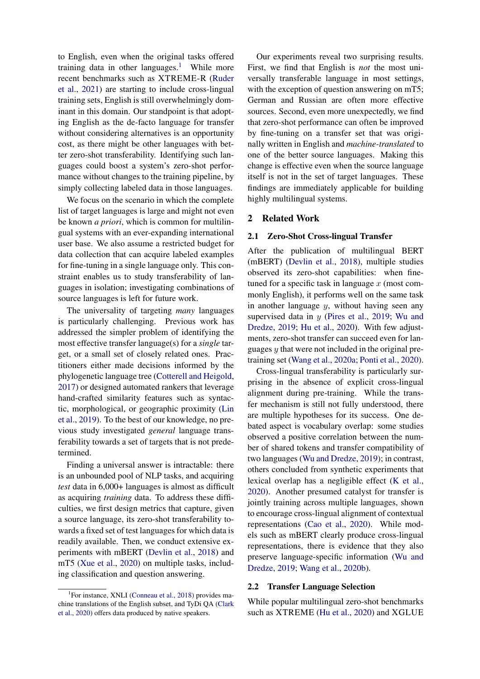to English, even when the original tasks offered training data in other languages.<sup>[1](#page-1-0)</sup> While more recent benchmarks such as XTREME-R [\(Ruder](#page-9-3) [et al.,](#page-9-3) [2021\)](#page-9-3) are starting to include cross-lingual training sets, English is still overwhelmingly dominant in this domain. Our standpoint is that adopting English as the de-facto language for transfer without considering alternatives is an opportunity cost, as there might be other languages with better zero-shot transferability. Identifying such languages could boost a system's zero-shot performance without changes to the training pipeline, by simply collecting labeled data in those languages.

We focus on the scenario in which the complete list of target languages is large and might not even be known *a priori*, which is common for multilingual systems with an ever-expanding international user base. We also assume a restricted budget for data collection that can acquire labeled examples for fine-tuning in a single language only. This constraint enables us to study transferability of languages in isolation; investigating combinations of source languages is left for future work.

The universality of targeting *many* languages is particularly challenging. Previous work has addressed the simpler problem of identifying the most effective transfer language(s) for a *single* target, or a small set of closely related ones. Practitioners either made decisions informed by the phylogenetic language tree [\(Cotterell and Heigold,](#page-8-3) [2017\)](#page-8-3) or designed automated rankers that leverage hand-crafted similarity features such as syntactic, morphological, or geographic proximity [\(Lin](#page-9-4) [et al.,](#page-9-4) [2019\)](#page-9-4). To the best of our knowledge, no previous study investigated *general* language transferability towards a set of targets that is not predetermined.

Finding a universal answer is intractable: there is an unbounded pool of NLP tasks, and acquiring *test* data in 6,000+ languages is almost as difficult as acquiring *training* data. To address these difficulties, we first design metrics that capture, given a source language, its zero-shot transferability towards a fixed set of test languages for which data is readily available. Then, we conduct extensive experiments with mBERT [\(Devlin et al.,](#page-8-1) [2018\)](#page-8-1) and mT5 [\(Xue et al.,](#page-10-1) [2020\)](#page-10-1) on multiple tasks, including classification and question answering.

Our experiments reveal two surprising results. First, we find that English is *not* the most universally transferable language in most settings, with the exception of question answering on mT5; German and Russian are often more effective sources. Second, even more unexpectedly, we find that zero-shot performance can often be improved by fine-tuning on a transfer set that was originally written in English and *machine-translated* to one of the better source languages. Making this change is effective even when the source language itself is not in the set of target languages. These findings are immediately applicable for building highly multilingual systems.

### <span id="page-1-1"></span>2 Related Work

#### 2.1 Zero-Shot Cross-lingual Transfer

After the publication of multilingual BERT (mBERT) [\(Devlin et al.,](#page-8-1) [2018\)](#page-8-1), multiple studies observed its zero-shot capabilities: when finetuned for a specific task in language  $x$  (most commonly English), it performs well on the same task in another language  $y$ , without having seen any supervised data in  $y$  [\(Pires et al.,](#page-9-0) [2019;](#page-9-0) [Wu and](#page-10-2) [Dredze,](#page-10-2) [2019;](#page-10-2) [Hu et al.,](#page-9-1) [2020\)](#page-9-1). With few adjustments, zero-shot transfer can succeed even for languages  $y$  that were not included in the original pretraining set [\(Wang et al.,](#page-10-3) [2020a;](#page-10-3) [Ponti et al.,](#page-9-5) [2020\)](#page-9-5).

Cross-lingual transferability is particularly surprising in the absence of explicit cross-lingual alignment during pre-training. While the transfer mechanism is still not fully understood, there are multiple hypotheses for its success. One debated aspect is vocabulary overlap: some studies observed a positive correlation between the number of shared tokens and transfer compatibility of two languages [\(Wu and Dredze,](#page-10-2) [2019\)](#page-10-2); in contrast, others concluded from synthetic experiments that lexical overlap has a negligible effect [\(K et al.,](#page-9-6) [2020\)](#page-9-6). Another presumed catalyst for transfer is jointly training across multiple languages, shown to encourage cross-lingual alignment of contextual representations [\(Cao et al.,](#page-8-6) [2020\)](#page-8-6). While models such as mBERT clearly produce cross-lingual representations, there is evidence that they also preserve language-specific information [\(Wu and](#page-10-2) [Dredze,](#page-10-2) [2019;](#page-10-2) [Wang et al.,](#page-10-4) [2020b\)](#page-10-4).

### 2.2 Transfer Language Selection

While popular multilingual zero-shot benchmarks such as XTREME [\(Hu et al.,](#page-9-1) [2020\)](#page-9-1) and XGLUE

<span id="page-1-0"></span><sup>&</sup>lt;sup>1</sup>For instance, XNLI [\(Conneau et al.,](#page-8-4) [2018\)](#page-8-4) provides machine translations of the English subset, and TyDi QA [\(Clark](#page-8-5) [et al.,](#page-8-5) [2020\)](#page-8-5) offers data produced by native speakers.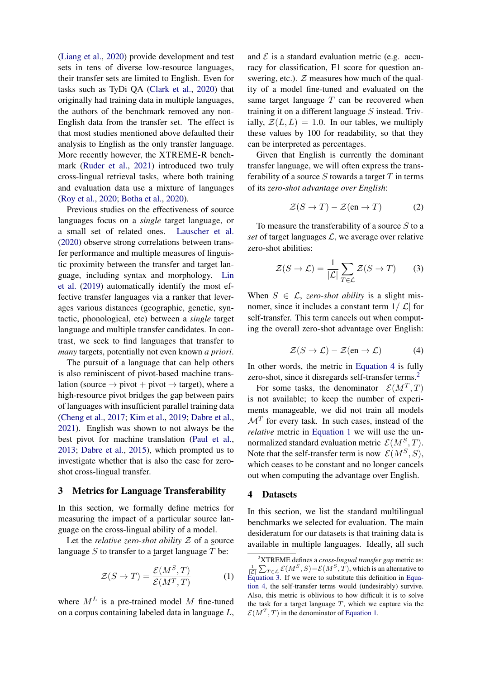[\(Liang et al.,](#page-9-2) [2020\)](#page-9-2) provide development and test sets in tens of diverse low-resource languages, their transfer sets are limited to English. Even for tasks such as TyDi QA [\(Clark et al.,](#page-8-5) [2020\)](#page-8-5) that originally had training data in multiple languages, the authors of the benchmark removed any non-English data from the transfer set. The effect is that most studies mentioned above defaulted their analysis to English as the only transfer language. More recently however, the XTREME-R benchmark [\(Ruder et al.,](#page-9-3) [2021\)](#page-9-3) introduced two truly cross-lingual retrieval tasks, where both training and evaluation data use a mixture of languages [\(Roy et al.,](#page-9-7) [2020;](#page-9-7) [Botha et al.,](#page-8-7) [2020\)](#page-8-7).

Previous studies on the effectiveness of source languages focus on a *single* target language, or a small set of related ones. [Lauscher et al.](#page-9-8) [\(2020\)](#page-9-8) observe strong correlations between transfer performance and multiple measures of linguistic proximity between the transfer and target language, including syntax and morphology. [Lin](#page-9-4) [et al.](#page-9-4) [\(2019\)](#page-9-4) automatically identify the most effective transfer languages via a ranker that leverages various distances (geographic, genetic, syntactic, phonological, etc) between a *single* target language and multiple transfer candidates. In contrast, we seek to find languages that transfer to *many* targets, potentially not even known *a priori*.

The pursuit of a language that can help others is also reminiscent of pivot-based machine translation (source  $\rightarrow$  pivot  $+$  pivot  $\rightarrow$  target), where a high-resource pivot bridges the gap between pairs of languages with insufficient parallel training data [\(Cheng et al.,](#page-8-8) [2017;](#page-8-8) [Kim et al.,](#page-9-9) [2019;](#page-9-9) [Dabre et al.,](#page-8-9) [2021\)](#page-8-9). English was shown to not always be the best pivot for machine translation [\(Paul et al.,](#page-9-10) [2013;](#page-9-10) [Dabre et al.,](#page-8-10) [2015\)](#page-8-10), which prompted us to investigate whether that is also the case for zeroshot cross-lingual transfer.

### 3 Metrics for Language Transferability

In this section, we formally define metrics for measuring the impact of a particular source language on the cross-lingual ability of a model.

Let the *relative zero-shot ability*  $Z$  of a source language S to transfer to a target language  $T$  be:

$$
\mathcal{Z}(S \to T) = \frac{\mathcal{E}(M^S, T)}{\mathcal{E}(M^T, T)}
$$
(1)

where  $M<sup>L</sup>$  is a pre-trained model M fine-tuned on a corpus containing labeled data in language L,

and  $\mathcal E$  is a standard evaluation metric (e.g. accuracy for classification, F1 score for question answering, etc.).  $Z$  measures how much of the quality of a model fine-tuned and evaluated on the same target language  $T$  can be recovered when training it on a different language  $S$  instead. Trivially,  $\mathcal{Z}(L, L) = 1.0$ . In our tables, we multiply these values by 100 for readability, so that they can be interpreted as percentages.

Given that English is currently the dominant transfer language, we will often express the transferability of a source S towards a target  $T$  in terms of its *zero-shot advantage over English*:

<span id="page-2-4"></span>
$$
\mathcal{Z}(S \to T) - \mathcal{Z}(\text{en} \to T) \tag{2}
$$

To measure the transferability of a source  $S$  to a *set* of target languages  $\mathcal{L}$ , we average over relative zero-shot abilities:

<span id="page-2-3"></span>
$$
\mathcal{Z}(S \to \mathcal{L}) = \frac{1}{|\mathcal{L}|} \sum_{T \in \mathcal{L}} \mathcal{Z}(S \to T) \qquad (3)
$$

When  $S \in \mathcal{L}$ , *zero-shot ability* is a slight misnomer, since it includes a constant term  $1/|\mathcal{L}|$  for self-transfer. This term cancels out when computing the overall zero-shot advantage over English:

$$
\mathcal{Z}(S \to \mathcal{L}) - \mathcal{Z}(\text{en} \to \mathcal{L}) \tag{4}
$$

<span id="page-2-0"></span>In other words, the metric in [Equation 4](#page-2-0) is fully zero-shot, since it disregards self-transfer terms.<sup>[2](#page-2-1)</sup>

For some tasks, the denominator  $\mathcal{E}(M^T, T)$ is not available; to keep the number of experiments manageable, we did not train all models  $\mathcal{M}^T$  for every task. In such cases, instead of the *relative* metric in [Equation 1](#page-2-2) we will use the unnormalized standard evaluation metric  $\mathcal{E}(M^S, T)$ . Note that the self-transfer term is now  $\mathcal{E}(M^S, S)$ , which ceases to be constant and no longer cancels out when computing the advantage over English.

### <span id="page-2-5"></span>4 Datasets

In this section, we list the standard multilingual benchmarks we selected for evaluation. The main desideratum for our datasets is that training data is available in multiple languages. Ideally, all such

<span id="page-2-2"></span><span id="page-2-1"></span><sup>2</sup>XTREME defines a *cross-lingual transfer gap* metric as:  $\frac{1}{|\mathcal{L}|} \sum_{T \in \mathcal{L}} \mathcal{E}(M^S, S) - \mathcal{E}(M^S, T)$ , which is an alternative to [Equation 3.](#page-2-3) If we were to substitute this definition in [Equa](#page-2-0)[tion 4,](#page-2-0) the self-transfer terms would (undesirably) survive. Also, this metric is oblivious to how difficult it is to solve the task for a target language  $T$ , which we capture via the  $\mathcal{E}(M^T, T)$  in the denominator of [Equation 1.](#page-2-2)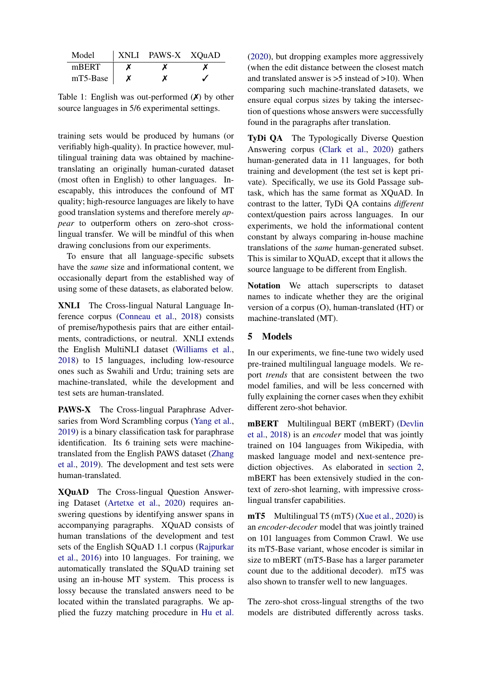<span id="page-3-1"></span>

| Model    | XNLI PAWS-X XQuAD |  |
|----------|-------------------|--|
| mBERT    | х                 |  |
| mT5-Base |                   |  |

Table 1: English was out-performed  $(X)$  by other source languages in 5/6 experimental settings.

training sets would be produced by humans (or verifiably high-quality). In practice however, multilingual training data was obtained by machinetranslating an originally human-curated dataset (most often in English) to other languages. Inescapably, this introduces the confound of MT quality; high-resource languages are likely to have good translation systems and therefore merely *appear* to outperform others on zero-shot crosslingual transfer. We will be mindful of this when drawing conclusions from our experiments.

To ensure that all language-specific subsets have the *same* size and informational content, we occasionally depart from the established way of using some of these datasets, as elaborated below.

XNLI The Cross-lingual Natural Language Inference corpus [\(Conneau et al.,](#page-8-4) [2018\)](#page-8-4) consists of premise/hypothesis pairs that are either entailments, contradictions, or neutral. XNLI extends the English MultiNLI dataset [\(Williams et al.,](#page-10-5) [2018\)](#page-10-5) to 15 languages, including low-resource ones such as Swahili and Urdu; training sets are machine-translated, while the development and test sets are human-translated.

PAWS-X The Cross-lingual Paraphrase Adversaries from Word Scrambling corpus [\(Yang et al.,](#page-10-6) [2019\)](#page-10-6) is a binary classification task for paraphrase identification. Its 6 training sets were machinetranslated from the English PAWS dataset [\(Zhang](#page-10-7) [et al.,](#page-10-7) [2019\)](#page-10-7). The development and test sets were human-translated.

XQuAD The Cross-lingual Question Answering Dataset [\(Artetxe et al.,](#page-8-11) [2020\)](#page-8-11) requires answering questions by identifying answer spans in accompanying paragraphs. XQuAD consists of human translations of the development and test sets of the English SQuAD 1.1 corpus [\(Rajpurkar](#page-9-11) [et al.,](#page-9-11) [2016\)](#page-9-11) into 10 languages. For training, we automatically translated the SQuAD training set using an in-house MT system. This process is lossy because the translated answers need to be located within the translated paragraphs. We applied the fuzzy matching procedure in [Hu et al.](#page-9-1) [\(2020\)](#page-9-1), but dropping examples more aggressively (when the edit distance between the closest match and translated answer is >5 instead of >10). When comparing such machine-translated datasets, we ensure equal corpus sizes by taking the intersection of questions whose answers were successfully found in the paragraphs after translation.

TyDi QA The Typologically Diverse Question Answering corpus [\(Clark et al.,](#page-8-5) [2020\)](#page-8-5) gathers human-generated data in 11 languages, for both training and development (the test set is kept private). Specifically, we use its Gold Passage subtask, which has the same format as XQuAD. In contrast to the latter, TyDi QA contains *different* context/question pairs across languages. In our experiments, we hold the informational content constant by always comparing in-house machine translations of the *same* human-generated subset. This is similar to XQuAD, except that it allows the source language to be different from English.

Notation We attach superscripts to dataset names to indicate whether they are the original version of a corpus (O), human-translated (HT) or machine-translated (MT).

# <span id="page-3-0"></span>5 Models

In our experiments, we fine-tune two widely used pre-trained multilingual language models. We report *trends* that are consistent between the two model families, and will be less concerned with fully explaining the corner cases when they exhibit different zero-shot behavior.

mBERT Multilingual BERT (mBERT) [\(Devlin](#page-8-1) [et al.,](#page-8-1) [2018\)](#page-8-1) is an *encoder* model that was jointly trained on 104 languages from Wikipedia, with masked language model and next-sentence prediction objectives. As elaborated in [section 2,](#page-1-1) mBERT has been extensively studied in the context of zero-shot learning, with impressive crosslingual transfer capabilities.

mT5 Multilingual T5 (mT5) [\(Xue et al.,](#page-10-1) [2020\)](#page-10-1) is an *encoder-decoder* model that was jointly trained on 101 languages from Common Crawl. We use its mT5-Base variant, whose encoder is similar in size to mBERT (mT5-Base has a larger parameter count due to the additional decoder). mT5 was also shown to transfer well to new languages.

The zero-shot cross-lingual strengths of the two models are distributed differently across tasks.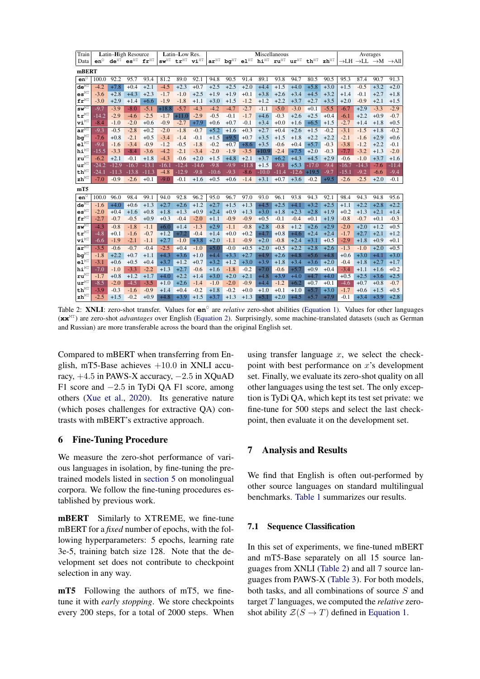<span id="page-4-0"></span>

| Train                                                  |                   |                   | Latin-High Resource                         |                   | Latin-Low Res.   |                   |                                             |                   | Miscellaneous    |                  |                   |                   |                                                                                                              |                   |                                    | Averages          |                  |                  |                                                                     |
|--------------------------------------------------------|-------------------|-------------------|---------------------------------------------|-------------------|------------------|-------------------|---------------------------------------------|-------------------|------------------|------------------|-------------------|-------------------|--------------------------------------------------------------------------------------------------------------|-------------------|------------------------------------|-------------------|------------------|------------------|---------------------------------------------------------------------|
| Data                                                   | $en^{\circ}$      |                   | $de^{HT}$ es <sup>HT</sup> fr <sup>HT</sup> |                   |                  |                   | $sw^{HT}$ tr <sup>HT</sup> vi <sup>HT</sup> |                   |                  |                  |                   |                   | $arHT$ bo <sup>HT</sup> el <sup>HT</sup> hi <sup>HT</sup> ru <sup>HT</sup> ur <sup>HT</sup> th <sup>HT</sup> |                   | $\mathbf{z}\mathbf{h}^{\text{HT}}$ |                   |                  |                  | $\rightarrow$ LH $\rightarrow$ LL $\rightarrow$ M $\rightarrow$ All |
| mBERT                                                  |                   |                   |                                             |                   |                  |                   |                                             |                   |                  |                  |                   |                   |                                                                                                              |                   |                                    |                   |                  |                  |                                                                     |
| $en^{\circ}$                                           | 100.0             | 92.2              | 95.7                                        | 93.4              | 81.2             | 89.0              | 92.1                                        | 94.8              | 90.5             | 91.4             | 89.1              | 93.8              | 94.7                                                                                                         | 80.5              | 90.5                               | 95.3              | 87.4             | 90.7             | 91.3                                                                |
| $de^{MT}$                                              | $-4.2$            | $+7.8$            | $+0.4$                                      | $+2.1$            | $-4.5$           | $+2.3$            | $+0.7$                                      | $+2.5$            | $+2.5$           | $+2.0$           | $+4.4$            | $+1.5$            | $+4.0$                                                                                                       | $+5.8$            | $+3.0$                             | $+1.5$            | $-0.5$           | $+3.2$           | $+2.0$                                                              |
| $\mathbf{es}^{\mathrm{MT}}$                            | $-3.6$            | $+2.8$            | $+4.3$                                      | $+2.3$            | $-1.7$           | $-1.0$            | $+2.5$                                      | $+1.9$            | $+1.9$           | $+0.1$           | $+3.8$            | $+2.6$            | $+3.4$                                                                                                       | $+4.5$            | $+3.2$                             | $+1.4$            | $-0.1$           | $+2.7$           | $+1.8$                                                              |
| ${\tt fr}^{\tt MT}$                                    | $-3.0$            | $+2.9$            | $+1.4$                                      | $+6.6$            | $-1.9$           | $-1.8$            | $+1.1$                                      | $+3.0$            | $+1.5$           | $-1.2$           | $+1.2$            | $+2.2$            | $+3.7$                                                                                                       | $+2.7$            | $+3.5$                             | $+2.0$            | $-0.9$           | $+2.1$           | $+1.5$                                                              |
| $\mathbf{s}\mathbf{w}^{\mathrm{MT}}$                   | $-9.7$            | $-3.9$            | $-8.0$                                      | $-5.1$            | $+18.8$          | $-5.7$            | $-4.3$                                      | $-4.2$            | $-4.7$           | $-2.7$           | $-1.1$            | $-5.0$            | $-3.0$                                                                                                       | $+0.1$            | $-5.5$                             | $-6.7$            | $+2.9$           | $-3.3$           | $-2.9$                                                              |
| $\mathbf{tr}^{\mathrm{MT}}$                            | $-14.2$           | $-2.9$            | $-4.6$                                      | $-2.5$            | $-1.7$           | $+11.0$           | $-2.9$                                      | $-0.5$            | $-0.1$           | $-1.7$           | $+4.6$            | $-0.3$            | $+2.6$                                                                                                       | $+2.5$            | $+0.4$                             | $-6.1$            | $+2.2$           | $+0.9$           | $-0.7$                                                              |
| $\mathbf{v}\mathbf{i}^{\mathrm{MT}}$                   | $-8.4$            | $-1.0$            | $-2.0$                                      | $+0.6$            | $-0.9$           | $-2.7$            | $+7.9$                                      | $+0.6$            | $+0.7$           | $-0.1$           | $+3.4$            | $+0.0$            | $+1.6$                                                                                                       | $+6.5$            | $+1.5$                             | $-2.7$            | $+1.4$           | $+1.8$           | $+0.5$                                                              |
| $\mathbf{a}\overline{\mathbf{r}^{\text{MT}}}$          | $-9.3$            | $-0.5$            | $-2.8$                                      | $+0.2$            | $-2.0$           | $-1.8$            | $-0.7$                                      | $+5.2$            | $+1.6$           | $+0.3$           | $+2.7$            | $+0.4$            | $+2.6$                                                                                                       | $+1.5$            | $-0.2$                             | $-3.1$            | $-1.5$           | $+1.8$           | $-0.2$                                                              |
| $\mathbf{b}\mathbf{g}^{\mathrm{MT}}$                   | $-7.6$            | $+0.8$            | $-2.1$                                      | $+0.5$            | $-3.4$           | $-1.4$            | $-0.1$                                      | $+1.5$            | $+9.5$           | $+0.7$           | $+3.5$            | $+1.5$            | $+1.8$                                                                                                       | $+2.2$            | $+2.2$                             | $-2.1$            | $-1.6$           | $+2.9$           | $+0.6$                                                              |
| $e1^{\text{MI}}$                                       | $-9.4$            | $-1.6$            | $-3.4$                                      | $-0.9$            | $-1.2$           | $-0.5$            | $-1.8$                                      | $-0.2$            | $+0.7$           | $+8.6$           | $+3.5$            | $-0.6$            | $+0.4$                                                                                                       | $+5.7$            | $-0.3$                             | $-3.8$            | $-1.2$           | $+2.2$           | $-0.1$                                                              |
| $\mathtt{hi}^\mathtt{MT}$                              | $-15.5$           | $-3.3$            | $-8.4$                                      | $-3.6$            | $-4.2$           | $-2.1$            | $-3.4$                                      | $-2.0$            | $-1.9$           | $-3.5$           | $+10.9$           | $-2.4$            | $+7.5$                                                                                                       | $+2.0$            | $-0.3$                             | $-7.7$            | $-3.2$           | $+1.3$           | $-2.0$                                                              |
| $\textbf{r}\textbf{u}^{\text{MT}}$                     | $-6.2$            | $+2.1$            | $-0.1$                                      | $+1.8$            | $-4.3$           | $-0.6$            | $+2.0$                                      | $+1.5$            | $+4.8$           | $+2.1$           | $+3.7$            | $+6.2$            | $+4.3$                                                                                                       | $+4.5$            | $+2.9$                             | $-0.6$            | $-1.0$           | $+3.7$           | $+1.6$                                                              |
| $\mathbf{u}\mathbf{r}^{\text{MT}}$<br>$th^{\text{MT}}$ | $-24.2$           | $-12.9$           | $-16.7$                                     | $-13.1$           | $-16.1$          | $-12.4$           | $-14.6$                                     | $-9.8$            | $-9.9$           | $-11.8$          | $+1.5$            | $-9.8$            | $+5.3$                                                                                                       | $-17.0$           | $-9.4$                             | $-16.7$           | $-14.3$          | $-7.6$           | $-11.4$                                                             |
| $\mathbf{z}\mathbf{h}^{\text{MT}}$                     | $-24.1$<br>$-7.0$ | $-11.3$<br>$-0.9$ | $-13.8$<br>$-2.6$                           | $-11.3$<br>$+0.1$ | $-4.8$<br>$-9.0$ | $-12.9$<br>$-0.1$ | $-9.8$<br>$+1.6$                            | $-10.6$<br>$+0.5$ | $-9.3$<br>$+0.6$ | $-8.6$<br>$-1.4$ | $-10.0$<br>$+3.1$ | $-11.4$<br>$+0.7$ | $-12.6$<br>$+3.6$                                                                                            | $+19.5$<br>$-0.2$ | $-9.7$<br>$+9.5$                   | $-15.1$<br>$-2.6$ | $-9.2$<br>$-2.5$ | $-6.6$<br>$+2.0$ | $-9.4$<br>$-0.1$                                                    |
|                                                        |                   |                   |                                             |                   |                  |                   |                                             |                   |                  |                  |                   |                   |                                                                                                              |                   |                                    |                   |                  |                  |                                                                     |
| mT <sub>5</sub>                                        |                   |                   |                                             |                   |                  |                   |                                             |                   |                  |                  |                   |                   |                                                                                                              |                   |                                    |                   |                  |                  |                                                                     |
| $en^{\circ}$                                           | 100.0             | 96.0              | 98.4                                        | 99.1              | 94.0             | 92.8              | 96.2                                        | 95.0              | 96.7             | 97.0             | 93.0              | 96.1              | 93.8                                                                                                         | 94.3              | 92.1                               | 98.4              | 94.3             | 94.8             | 95.6                                                                |
| $de^{MT}$                                              | $-1.6$            | $+4.0$            | $+0.6$                                      | $+1.3$            | $+2.7$           | $+2.6$            | $+1.2$                                      | $+2.7$            | $+1.5$           | $+1.3$           | $+4.5$            | $+2.5$            | $+4.1$                                                                                                       | $+3.2$            | $+2.5$                             | $+1.1$            | $+2.2$           | $+2.8$           | $+2.2$                                                              |
| $\mathbf{es}^{\mathrm{MT}}$                            | $-2.0$            | $+0.4$            | $+1.6$                                      | $+0.8$            | $+1.8$           | $+1.3$            | $+0.9$                                      | $+2.4$            | $+0.9$           | $+1.3$           | $+3.0$            | $+1.8$            | $+2.3$                                                                                                       | $+2.8$            | $+1.9$                             | $+0.2$            | $+1.3$           | $+2.1$           | $+1.4$                                                              |
| $\mathbf{fr}^{\mathrm{MT}}$                            | $-2.7$            | $-0.7$            | $-0.5$                                      | $+0.9$            | $+0.3$           | $-0.4$            | $-2.0$                                      | $+1.1$            | $-0.9$           | $-0.9$           | $+0.5$            | $-0.1$            | $-0.4$                                                                                                       | $+0.1$            | $+1.9$                             | $-0.8$            | $-0.7$           | $+0.1$           | $-0.3$                                                              |
| $\mathbf{s}\overline{\mathbf{w}^{\text{MT}}}$          | $-4.3$            | $-0.8$            | $-1.8$                                      | $-1.1$            | $+6.0$           | $+1.4$            | $-1.3$                                      | $+2.9$            | $-1.1$           | $-0.8$           | $+2.8$            | $-0.8$            | $+1.2$                                                                                                       | $+2.6$            | $+2.9$                             | $-2.0$            | $+2.0$           | $+1.2$           | $+0.5$                                                              |
| $\mathbf{tr}^{\mathrm{MT}}$                            | $-4.8$            | $+0.1$            | $-1.6$                                      | $-0.7$            | $+1.2$           | $+7.2$            | $-0.4$                                      | $+1.4$            | $+0.0$           | $+0.2$           | $+4.7$            | $+0.8$            | $+4.6$                                                                                                       | $+2.4$            | $+2.4$                             | $-1.7$            | $+2.7$           | $+2.1$           | $+1.2$                                                              |
| $\mathbf{v}\mathbf{i}^{\mathrm{MT}}$                   | $-6.6$            | $-1.9$            | $-2.1$                                      | $-1.1$            | $+2.7$           | $-1.0$            | $+3.8$                                      | $+2.0$            | $-1.1$           | $-0.9$           | $+2.0$            | $-0.8$            | $+2.4$                                                                                                       | $+3.1$            | $+0.5$                             | $-2.9$            | $+1.8$           | $+0.9$           | $+0.1$                                                              |
| $\mathbf{a}\mathbf{r}^{\text{MT}}$                     | $-3.5$            | $-0.6$            | $-0.7$                                      | $-0.4$            | $-2.5$           | $+0.4$            | $-1.0$                                      | $+5.0$            | $-0.0$           | $+0.5$           | $+2.0$            | $+0.5$            | $+2.2$                                                                                                       | $+2.8$            | $+2.6$                             | $-1.3$            | $-1.0$           | $+2.0$           | $+0.5$                                                              |
| $\mathbf{b}\mathbf{g}^{\mathrm{MT}}$                   | $-1.8$            | $+2.2$            | $+0.7$                                      | $+1.1$            | $+4.3$           | $+3.6$            | $+1.0$                                      | $+4.4$            | $+3.3$           | $+2.7$           | $+4.9$            | $+2.6$            | $+4.8$                                                                                                       | $+5.6$            | $+4.8$                             | $+0.6$            | $+3.0$           | $+4.1$           | $+3.0$                                                              |
| $e1^{\text{MI}}$                                       | $-3.1$            | $+0.6$            | $+0.5$                                      | $+0.4$            | $+3.7$           | $+1.2$            | $+0.7$                                      | $+3.2$            | $+1.2$           | $+3.0$           | $+3.9$            | $+1.8$            | $+3.4$                                                                                                       | $+3.6$            | $+2.0$                             | $-0.4$            | $+1.8$           | $+2.7$           | $+1.7$                                                              |
| $h i^{MT}$                                             | $-7.0$            | $-1.0$            | $-3.3$                                      | $-2.2$            | $+1.3$           | $+2.7$            | $-0.6$                                      | $+1.6$            | $-1.8$           | $-0.2$           | $+7.0$            | $-0.6$            | $+5.7$                                                                                                       | $+0.9$            | $+0.4$                             | $-3.4$            | $+1.1$           | $+1.6$           | $+0.2$                                                              |
| $ru^{\text{MT}}$                                       | $-1.7$            | $+0.8$            | $+1.2$                                      | $+1.7$            | $+4.0$           | $+2.2$            | $+1.4$                                      | $+3.0$            | $+2.0$           | $+2.1$           | $+4.8$            | $+3.9$            | $+4.0$                                                                                                       | $+4.7$            | $+4.0$                             | $+0.5$            | $+2.5$           | $+3.6$           | $+2.5$                                                              |
| $\mathbf{u}\mathbf{r}^{\text{MT}}$<br>$th^{\text{MT}}$ | $-8.5$<br>$-3.9$  | $-2.0$<br>$-0.3$  | $-4.5$<br>$-1.6$                            | $-3.5$<br>$-0.9$  | $+1.0$<br>$+1.4$ | $+2.6$<br>$+0.4$  | $-1.4$<br>$-0.2$                            | $-1.0$<br>$+1.8$  | $-2.0$<br>$-0.2$ | $-0.9$<br>$+0.0$ | $+4.4$<br>$+1.0$  | $-1.2$<br>$+0.1$  | $+6.2$<br>$+1.0$                                                                                             | $+0.7$<br>$+5.7$  | $+0.1$<br>$+3.0$                   | $-4.6$<br>$-1.7$  | $+0.7$<br>$+0.6$ | $+0.8$<br>$+1.5$ | $-0.7$<br>$+0.5$                                                    |
| $\mathbf{z}\mathbf{h}^{\text{MT}}$                     | $-2.5$            | $+1.5$            | $-0.2$                                      | $+0.9$            | $+4.8$           | $+3.9$            | $+1.5$                                      | $+3.7$            | $+1.3$           | $+1.3$           | $+5.1$            | $+2.0$            | $+4.5$                                                                                                       | $+5.7$            | $+7.9$                             | $-0.1$            | $+3.4$           | $+3.9$           | $+2.8$                                                              |
|                                                        |                   |                   |                                             |                   |                  |                   |                                             |                   |                  |                  |                   |                   |                                                                                                              |                   |                                    |                   |                  |                  |                                                                     |

Table 2: XNLI: zero-shot transfer. Values for  $en^{\circ}$  are *relative* zero-shot abilities (Equation 1). Values for other languages  $(\mathbf{x} \mathbf{x}^{\text{MT}})$  are zero-shot *advantages* over English (Equation 2). Surprisingly, some machine-translated datasets (such as German and Russian) are more transferable across the board than the original English set.

Compared to mBERT when transferring from English, mT5-Base achieves  $+10.0$  in XNLI accuracy,  $+4.5$  in PAWS-X accuracy,  $-2.5$  in XQuAD F1 score and  $-2.5$  in TyDi QA F1 score, among others (Xue et al., 2020). Its generative nature (which poses challenges for extractive QA) contrasts with mBERT's extractive approach.

# **6** Fine-Tuning Procedure

We measure the zero-shot performance of various languages in isolation, by fine-tuning the pretrained models listed in section 5 on monolingual corpora. We follow the fine-tuning procedures established by previous work.

**mBERT** Similarly to XTREME, we fine-tune mBERT for a *fixed* number of epochs, with the following hyperparameters: 5 epochs, learning rate 3e-5, training batch size 128. Note that the development set does not contribute to checkpoint selection in any way.

mT5 Following the authors of mT5, we finetune it with *early stopping*. We store checkpoints every 200 steps, for a total of 2000 steps. When

using transfer language  $x$ , we select the checkpoint with best performance on  $x$ 's development set. Finally, we evaluate its zero-shot quality on all other languages using the test set. The only exception is TyDi QA, which kept its test set private: we fine-tune for 500 steps and select the last checkpoint, then evaluate it on the development set.

#### 7 **Analysis and Results**

We find that English is often out-performed by other source languages on standard multilingual benchmarks. Table 1 summarizes our results.

# 7.1 Sequence Classification

In this set of experiments, we fine-tuned mBERT and mT5-Base separately on all 15 source languages from XNLI (Table 2) and all 7 source languages from PAWS-X (Table 3). For both models, both tasks, and all combinations of source S and target  $T$  languages, we computed the *relative* zeroshot ability  $\mathcal{Z}(S \to T)$  defined in Equation 1.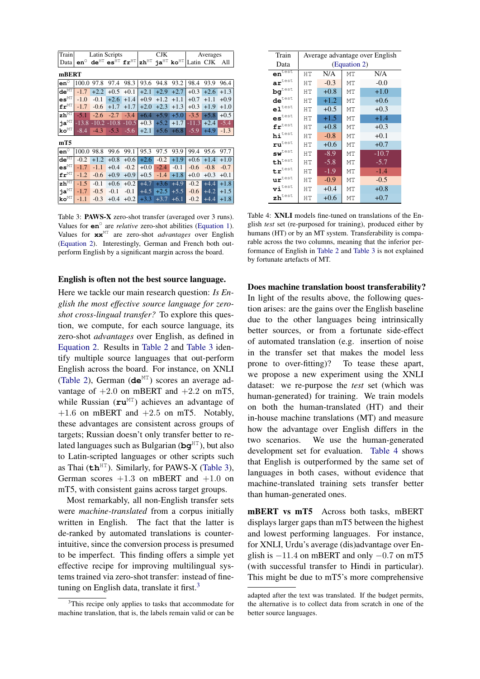<span id="page-5-0"></span>

| Train                                         |                                            |         | Latin Scripts                                               |         |                                    | CJK    |                                   |           | Averages |        |  |
|-----------------------------------------------|--------------------------------------------|---------|-------------------------------------------------------------|---------|------------------------------------|--------|-----------------------------------|-----------|----------|--------|--|
| Data                                          | $\mathtt{en}^{\scriptscriptstyle\lozenge}$ |         | $\textbf{de}^{\text{HT}}$ es <sup>HT</sup> fr <sup>HT</sup> |         | $\mathbf{z}\mathbf{h}^{\text{HT}}$ |        | ja <sup>HT</sup> ko <sup>HT</sup> | Latin CJK |          | All    |  |
| mBERT                                         |                                            |         |                                                             |         |                                    |        |                                   |           |          |        |  |
| $en^{\overline{0}}$                           | 100.0                                      | 97.8    | 97.4                                                        | 98.3    | 93.6                               | 94.8   | 93.2                              | 98.4      | 93.9     | 96.4   |  |
| $\mathbf{d}\mathbf{e}^{\text{MT}}$            | $-1.7$                                     | $+2.2$  | $+0.5$                                                      | $+0.1$  | $+2.1$                             | $+2.9$ | $+2.7$                            | $+0.3$    | $+2.6$   | $+1.3$ |  |
| $\mathbf{es}^{\mathrm{MT}}$                   | $-1.0$                                     | $-0.1$  | $+2.6$                                                      | $+1.4$  | $+0.9$                             | $+1.2$ | $+1.1$                            | $+0.7$    | $+1.1$   | $+0.9$ |  |
| $\mathbf{fr}^{\mathrm{MT}}$                   | $-1.7$                                     | $-0.6$  | $+1.7$                                                      | $+1.7$  | $+2.0$                             | $+2.3$ | $+1.3$                            | $+0.3$    | $+1.9$   | $+1.0$ |  |
| $\mathbf{z}\mathbf{h}^{\overline{\text{MT}}}$ | $-5.1$                                     | $-2.6$  | $-2.7$                                                      | $-3.4$  | $+6.4$                             | $+5.9$ | $+5.0$                            | $-3.5$    | $+5.8$   | $+0.5$ |  |
| ja <sup>MT</sup>                              | $-13.8$                                    | $-10.2$ | $-10.8$                                                     | $-10.5$ | $+0.3$                             | $+5.2$ | $+1.7$                            | $-11.3$   | $+2.4$   | $-5.4$ |  |
| $ko^{MT}$                                     | $-8.4$                                     | $-4.3$  | $-5.3$                                                      | $-5.6$  | $+2.1$                             | $+5.6$ | $+6.8$                            | $-5.9$    | $+4.9$   | $-1.3$ |  |
| mT5                                           |                                            |         |                                                             |         |                                    |        |                                   |           |          |        |  |
| $en^{\overline{0}}$                           | 100.0                                      | 98.8    | 99.6                                                        | 99.1    | 95.3                               | 97.5   | 93.9                              | 99.4      | 95.6     | 97.7   |  |
| $de^{\overline{\text{MT}}}$                   | $-0.2$                                     | $+1.2$  | $+0.8$                                                      | $+0.6$  | $+2.6$                             | $-0.2$ | $+1.9$                            | $+0.6$    | $+1.4$   | $+1.0$ |  |
| $\mathbf{es}^{\mathrm{MT}}$                   | $-1.7$                                     | $-1.1$  | $+0.4$                                                      | $-0.2$  | $+0.0$                             | $-2.4$ | $-0.1$                            | $-0.6$    | $-0.8$   | $-0.7$ |  |
| $\mathbf{fr}^{\mathrm{MT}}$                   | $-1.2$                                     | $-0.6$  | $+0.9$                                                      | $+0.9$  | $+0.5$                             | $-1.4$ | $+1.8$                            | $+0.0$    | $+0.3$   | $+0.1$ |  |
| $\mathbf{z}\overline{\mathbf{h}^{\text{MT}}}$ | $-1.5$                                     | $-0.1$  | $+0.6$                                                      | $+0.2$  | $+4.7$                             | $+3.6$ | $+4.9$                            | $-0.2$    | $+4.4$   | $+1.8$ |  |
| ја $^{\text{MT}}$                             | $-1.7$                                     | $-0.5$  | $-0.1$                                                      | $-0.1$  | $+4.5$                             | $+2.5$ | $+5.5$                            | $-0.6$    | $+4.2$   | $+1.5$ |  |
| $k$ o $\mathrm{M} \mathrm{T}$                 | $-1.1$                                     | $-0.3$  | $+0.4$                                                      | $+0.2$  | $+3.3$                             | $+3.7$ | $+6.1$                            | $-0.2$    | $+4.4$   | $+1.8$ |  |

Table 3: PAWS-X zero-shot transfer (averaged over 3 runs). Values for  $en^{\circ}$  are *relative* zero-shot abilities (Equation 1). Values for  $\mathbf{x} \mathbf{x}^M$  are zero-shot *advantages* over English (Equation 2). Interestingly, German and French both outperform English by a significant margin across the board.

### English is often not the best source language.

Here we tackle our main research question: Is English the most effective source language for zeroshot cross-lingual transfer? To explore this question, we compute, for each source language, its zero-shot *advantages* over English, as defined in Equation 2. Results in Table 2 and Table 3 identify multiple source languages that out-perform English across the board. For instance, on XNLI (Table 2), German  $(d e^{MT})$  scores an average advantage of  $+2.0$  on mBERT and  $+2.2$  on mT5, while Russian  $(\mathbf{r}\mathbf{u}^{\text{MT}})$  achieves an advantage of +1.6 on mBERT and +2.5 on mT5. Notably, these advantages are consistent across groups of targets; Russian doesn't only transfer better to related languages such as Bulgarian ( $\mathbf{b}\mathbf{q}^{\text{HT}}$ ), but also to Latin-scripted languages or other scripts such as Thai ( $\mathbf{th}^{\text{HT}}$ ). Similarly, for PAWS-X (Table 3), German scores  $+1.3$  on mBERT and  $+1.0$  on mT5, with consistent gains across target groups.

Most remarkably, all non-English transfer sets were *machine-translated* from a corpus initially written in English. The fact that the latter is de-ranked by automated translations is counterintuitive, since the conversion process is presumed to be imperfect. This finding offers a simple yet effective recipe for improving multilingual systems trained via zero-shot transfer: instead of finetuning on English data, translate it first. $3$ 

<span id="page-5-2"></span>

| Train                                  |    |        |              | Average advantage over English |
|----------------------------------------|----|--------|--------------|--------------------------------|
| Data                                   |    |        | (Equation 2) |                                |
| $en^{\overline{\text{test}}}$          | HТ | N/A    | MT           | N/A                            |
| $\mathbf{ar}^{\text{test}}$            | HТ | $-0.3$ | MT           | $-0.0$                         |
| $\text{bg}^{\text{test}}$              | НT | $+0.8$ | MT           | $+1.0$                         |
| $\mathbf{de}^{\texttt{test}}$          | HТ | $+1.2$ | <b>MT</b>    | $+0.6$                         |
| $e1^{\text{test}}$                     | НT | $+0.5$ | MT           | $+0.3$                         |
| $\mathsf{es}^\mathsf{test}$            | HТ | $+1.5$ | <b>MT</b>    | $+1.4$                         |
| $\mathbf{fr}^{\text{test}}$            | HТ | $+0.8$ | <b>MT</b>    | $+0.3$                         |
| $\mathtt{hi}^{\texttt{test}}$          | HТ | $-0.8$ | MT           | $+0.1$                         |
| $\mathbf{r}\mathbf{u}^{\text{test}}$   | HT | $+0.6$ | <b>MT</b>    | $+0.7$                         |
| $\textbf{sw}^{\texttt{test}}$          | HТ | $-8.9$ | MT           | $-10.7$                        |
| $th^{\text{test}}$                     | HТ | $-5.8$ | MT           | $-5.7$                         |
| $\mathtt{tr}^{\texttt{test}}$          | HT | $-1.9$ | <b>MT</b>    | $-1.4$                         |
| $\mathbf{ur}^{\text{test}}$            | HТ | $-0.9$ | <b>MT</b>    | $-0.5$                         |
| $\mathbf{vi}^\text{test}$              | HТ | $+0.4$ | MT           | $+0.8$                         |
| $\mathbf{z}\mathbf{h}^{\texttt{test}}$ | HТ | $+0.6$ | MT           | $+0.7$                         |

Table 4: XNLI models fine-tuned on translations of the English *test* set (re-purposed for training), produced either by humans (HT) or by an MT system. Transferability is comparable across the two columns, meaning that the inferior performance of English in Table 2 and Table 3 is not explained by fortunate artefacts of MT.

Does machine translation boost transferability?

In light of the results above, the following question arises: are the gains over the English baseline due to the other languages being intrinsically better sources, or from a fortunate side-effect of automated translation (e.g. insertion of noise in the transfer set that makes the model less prone to over-fitting)? To tease these apart, we propose a new experiment using the XNLI dataset: we re-purpose the test set (which was human-generated) for training. We train models on both the human-translated (HT) and their in-house machine translations (MT) and measure how the advantage over English differs in the two scenarios. We use the human-generated development set for evaluation. Table 4 shows that English is outperformed by the same set of languages in both cases, without evidence that machine-translated training sets transfer better than human-generated ones.

mBERT vs mT5 Across both tasks, mBERT displays larger gaps than mT5 between the highest and lowest performing languages. For instance, for XNLI, Urdu's average (dis)advantage over English is  $-11.4$  on mBERT and only  $-0.7$  on mT5 (with successful transfer to Hindi in particular). This might be due to mT5's more comprehensive

<span id="page-5-1"></span><sup>&</sup>lt;sup>3</sup>This recipe only applies to tasks that accommodate for machine translation, that is, the labels remain valid or can be

adapted after the text was translated. If the budget permits, the alternative is to collect data from scratch in one of the better source languages.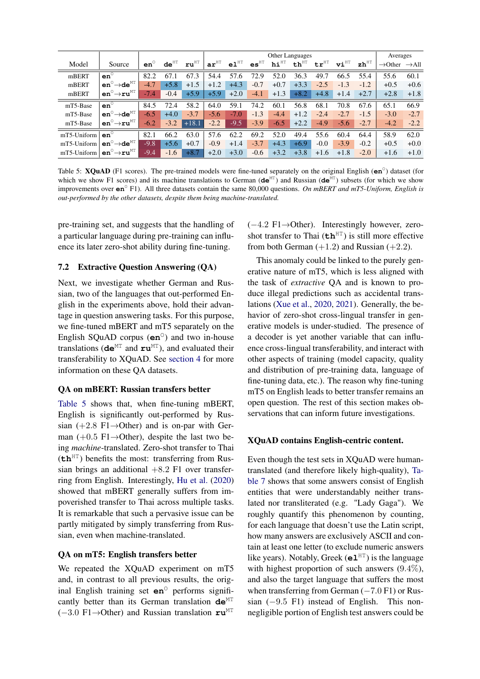<span id="page-6-0"></span>

|             |                                         |              |                  |                  | Other Languages  |                  |                  |                     |                  |                  |                             |                                     | Averages            |                   |
|-------------|-----------------------------------------|--------------|------------------|------------------|------------------|------------------|------------------|---------------------|------------------|------------------|-----------------------------|-------------------------------------|---------------------|-------------------|
| Model       | Source                                  | $en^{\circ}$ | $de^{\text{HT}}$ | $ru^{\text{HT}}$ | $ar^{\text{HT}}$ | $e1^{\text{HT}}$ | es <sup>HT</sup> | $h i$ <sup>HT</sup> | $th^{\text{HT}}$ | $tr^{\text{HT}}$ | $\mathbf{vi}^{\mathrm{HT}}$ | $\mathbf{z} \mathbf{h}^{\text{HT}}$ | $\rightarrow$ Other | $\rightarrow$ All |
| mBERT       | $en^{\circ}$                            | 82.2         | 67.1             | 67.3             | 54.4             | 57.6             | 72.9             | 52.0                | 36.3             | 49.7             | 66.5                        | 55.4                                | 55.6                | 60.1              |
| mBERT       | $en^{\circ} \rightarrow de^{MT}$        | $-4.7$       | $+5.8$           | $+1.5$           | $+1.2$           | $+4.3$           | $-0.7$           | $+0.7$              | $+3.3$           | $-2.5$           | $-1.3$                      | $-1.2$                              | $+0.5$              | $+0.6$            |
| mBERT       | $en^{\circ} \rightarrow ru^{\text{MT}}$ | $-7.4$       | $-0.4$           | $+5.9$           | $+5.9$           | $+2.0$           | $-4.1$           | $+1.3$              | $+8.2$           | $+4.8$           | $+1.4$                      | $+2.7$                              | $+2.8$              | $+1.8$            |
| mT5-Base    | $en^{\circ}$                            | 84.5         | 72.4             | 58.2             | 64.0             | 59.1             | 74.2             | 60.1                | 56.8             | 68.1             | 70.8                        | 67.6                                | 65.1                | 66.9              |
| mT5-Base    | $en^{\circ} \rightarrow de^{\text{MT}}$ | $-6.5$       | $+4.0$           | $-3.7$           | $-5.6$           | $-7.0$           | $-1.3$           | $-4.4$              | $+1.2$           | $-2.4$           | $-2.7$                      | $-1.5$                              | $-3.0$              | $-2.7$            |
| mT5-Base    | $en^{\circ} \rightarrow ru^{\text{MT}}$ | $-6.2$       | $-3.2$           | $+18.1$          | $-2.2$           | $-9.5$           | $-3.9$           | $-6.5$              | $+2.2$           | $-4.9$           | $-5.6$                      | $-2.7$                              | $-4.2$              | $-2.2$            |
| mT5-Uniform | $en^{\circ}$                            | 82.1         | 66.2             | 63.0             | 57.6             | 62.2             | 69.2             | 52.0                | 49.4             | 55.6             | 60.4                        | 64.4                                | 58.9                | 62.0              |
| mT5-Uniform | $en^{\circ} \rightarrow de^{MT}$        | $-9.8$       | $+5.6$           | $+0.7$           | $-0.9$           | $+1.4$           | $-3.7$           | $+4.3$              | $+6.9$           | $-0.0$           | $-3.9$                      | $-0.2$                              | $+0.5$              | $+0.0$            |
| mT5-Uniform | $en^{\circ} \rightarrow ru^{\text{MT}}$ | $-9.4$       | $-1.6$           | $+8.7$           | $+2.0$           | $+3.0$           | $-0.6$           | $+3.2$              | $+3.8$           | $+1.6$           | $+1.8$                      | $-2.0$                              | $+1.6$              | $+1.0$            |

Table 5: **XQuAD** (F1 scores). The pre-trained models were fine-tuned separately on the original English ( $en^{\circ}$ ) dataset (for which we show F1 scores) and its machine translations to German ( $de^{MT}$ ) and Russian ( $de^{MT}$ ) subsets (for which we show improvements over  $en^{\circ}$  F1). All three datasets contain the same 80,000 questions. On mBERT and mT5-Uniform, English is out-performed by the other datasets, despite them being machine-translated.

pre-training set, and suggests that the handling of a particular language during pre-training can influence its later zero-shot ability during fine-tuning.

### 7.2 Extractive Question Answering (QA)

Next, we investigate whether German and Russian, two of the languages that out-performed English in the experiments above, hold their advantage in question answering tasks. For this purpose, we fine-tuned mBERT and mT5 separately on the English SQuAD corpus  $(en^{\circ})$  and two in-house translations ( $de^{MT}$  and  $ru^{MT}$ ), and evaluated their transferability to XOuAD. See section 4 for more information on these QA datasets.

# **QA** on mBERT: Russian transfers better

Table 5 shows that, when fine-tuning mBERT, English is significantly out-performed by Russian  $(+2.8 \text{ F1} \rightarrow$ Other) and is on-par with German  $(+0.5 \text{ F1} \rightarrow$ Other), despite the last two being machine-translated. Zero-shot transfer to Thai  $(\mathbf{th}^{\text{HT}})$  benefits the most: transferring from Russian brings an additional  $+8.2$  F1 over transferring from English. Interestingly, Hu et al. (2020) showed that mBERT generally suffers from impoverished transfer to Thai across multiple tasks. It is remarkable that such a pervasive issue can be partly mitigated by simply transferring from Russian, even when machine-translated.

# QA on mT5: English transfers better

We repeated the XQuAD experiment on mT5 and, in contrast to all previous results, the original English training set  $en^{\circ}$  performs significantly better than its German translation de<sup>MT</sup>  $(-3.0 \text{ F1} \rightarrow$ Other) and Russian translation  $\mathbf{r} \mathbf{u}$ <sup>MT</sup>

 $(-4.2 \text{ F1} \rightarrow$ Other). Interestingly however, zeroshot transfer to Thai  $(th<sup>HT</sup>)$  is still more effective from both German  $(+1.2)$  and Russian  $(+2.2)$ .

This anomaly could be linked to the purely generative nature of mT5, which is less aligned with the task of *extractive* QA and is known to produce illegal predictions such as accidental translations (Xue et al., 2020, 2021). Generally, the behavior of zero-shot cross-lingual transfer in generative models is under-studied. The presence of a decoder is yet another variable that can influence cross-lingual transferability, and interact with other aspects of training (model capacity, quality and distribution of pre-training data, language of fine-tuning data, etc.). The reason why fine-tuning mT5 on English leads to better transfer remains an open question. The rest of this section makes observations that can inform future investigations.

#### **XQuAD** contains English-centric content.

Even though the test sets in XQuAD were humantranslated (and therefore likely high-quality), Table 7 shows that some answers consist of English entities that were understandably neither translated nor transliterated (e.g. "Lady Gaga"). We roughly quantify this phenomenon by counting, for each language that doesn't use the Latin script, how many answers are exclusively ASCII and contain at least one letter (to exclude numeric answers like years). Notably, Greek ( $e1<sup>HT</sup>$ ) is the language with highest proportion of such answers  $(9.4\%)$ , and also the target language that suffers the most when transferring from German  $(-7.0 \text{ F1})$  or Russian  $(-9.5 \text{ F1})$  instead of English. This nonnegligible portion of English test answers could be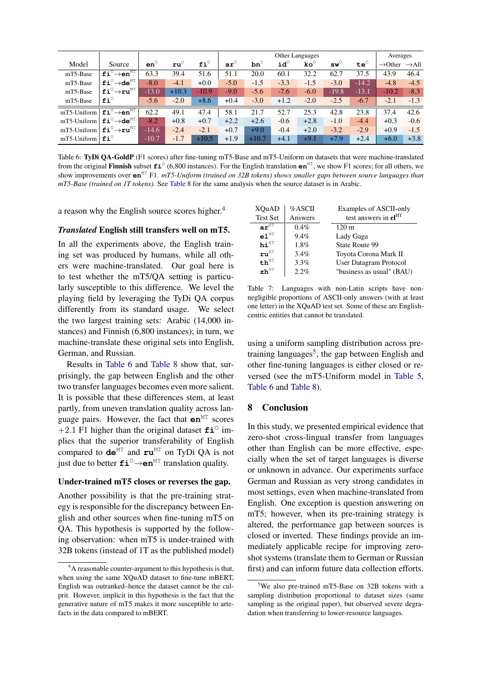<span id="page-7-2"></span>

|                |                                                             |              |              |              | Other Languages |              |              |                       |                                |              | Averages            |                   |  |
|----------------|-------------------------------------------------------------|--------------|--------------|--------------|-----------------|--------------|--------------|-----------------------|--------------------------------|--------------|---------------------|-------------------|--|
| Model          | Source                                                      | $en^{\circ}$ | $ru^{\circ}$ | $f1^{\circ}$ | $ar^{\circ}$    | $bn^{\circ}$ | $id^{\circ}$ | $\mathbf{ko}^{\circ}$ | $\mathbf{s}\mathbf{w}^{\circ}$ | $te^{\circ}$ | $\rightarrow$ Other | $\rightarrow$ All |  |
| mT5-Base       | $\overline{{\tt fi}^{\circ} \rightarrow {\tt en}^{\tt MT}}$ | 63.3         | 39.4         | 51.6         | 51.1            | 20.0         | 60.1         | 32.2                  | 62.7                           | 37.5         | 43.9                | 46.4              |  |
| mT5-Base       | $fi^{\circ} \rightarrow de^{MT}$                            | $-8.0$       | $-4.1$       | $+0.0$       | $-5.0$          | $-1.5$       | $-3.3$       | $-1.5$                | $-3.0$                         | $-14.2$      | $-4.8$              | $-4.5$            |  |
| mT5-Base       | $\texttt{fi}^\circ \rightarrow \texttt{ru}^\texttt{MT}$     | $-13.0$      | $+10.3$      | $-10.9$      | $-9.0$          | $-5.6$       | $-7.6$       | $-6.0$                | $-19.8$                        | $-13.1$      | $-10.2$             | $-8.3$            |  |
| mT5-Base       | $f1^{\circ}$                                                | $-5.6$       | $-2.0$       | $+8.6$       | $+0.4$          | $-3.0$       | $+1.2$       | $-2.0$                | $-2.5$                         | $-6.7$       | $-2.1$              | $-1.3$            |  |
| mT5-Uniform    | $fi^{\circ} \rightarrow en^{MT}$                            | 62.2         | 49.1         | 47.4         | 58.1            | 21.7         | 52.7         | 25.3                  | 42.8                           | 23.8         | 37.4                | 42.6              |  |
| $mT5$ -Uniform | $f{i}^{\circ} \rightarrow d e^{MT}$                         | $-8.2$       | $+0.8$       | $+0.7$       | $+2.2$          | $+2.6$       | $-0.6$       | $+2.8$                | $-1.0$                         | $-4.4$       | $+0.3$              | $-0.6$            |  |
| mT5-Uniform    | $f i^{\circ} \rightarrow r u^{MT}$                          | $-14.6$      | $-2.4$       | $-2.1$       | $+0.7$          | $+9.0$       | $-0.4$       | $+2.0$                | $-3.2$                         | $-2.9$       | $+0.9$              | $-1.5$            |  |
| $mT5$ -Uniform | $f_i^{\circ}$                                               | $-10.7$      | $-1.7$       | $+10.5$      | $+1.9$          | $+10.7$      | $+4.1$       | $+9.1$                | $+7.9$                         | $+2.4$       | $+6.0$              | $+3.8$            |  |

Table 6: TyDi QA-GoldP (F1 scores) after fine-tuning mT5-Base and mT5-Uniform on datasets that were machine-translated from the original Finnish subset  $fi^{\circ}$  (6,800 instances). For the English translation  $en^{MT}$ , we show F1 scores; for all others, we show improvements over  $en^{MT}$  F1. mT5-Uniform (trained on 32B tokens) shows smaller gaps between source languages than  $mT5-Base$  (trained on 1T tokens). See Table 8 for the same analysis when the source dataset is in Arabic.

a reason why the English source scores higher.<sup>4</sup>

#### Translated English still transfers well on mT5.

In all the experiments above, the English training set was produced by humans, while all others were machine-translated. Our goal here is to test whether the mT5/QA setting is particularly susceptible to this difference. We level the playing field by leveraging the TyDi QA corpus differently from its standard usage. We select the two largest training sets: Arabic (14,000 instances) and Finnish (6,800 instances); in turn, we machine-translate these original sets into English, German, and Russian.

Results in Table 6 and Table 8 show that, surprisingly, the gap between English and the other two transfer languages becomes even more salient. It is possible that these differences stem, at least partly, from uneven translation quality across language pairs. However, the fact that  $en^{MT}$  scores +2.1 F1 higher than the original dataset  $\text{fi}^{\circ}$  implies that the superior transferability of English compared to  $de^{MT}$  and  $ru^{MT}$  on TyDi QA is not iust due to better  $\text{fi}^{\circ} \rightarrow \text{en}^{\text{MT}}$  translation quality.

#### Under-trained mT5 closes or reverses the gap.

Another possibility is that the pre-training strategy is responsible for the discrepancy between English and other sources when fine-tuning mT5 on QA. This hypothesis is supported by the following observation: when mT5 is under-trained with 32B tokens (instead of 1T as the published model)

<span id="page-7-0"></span>

| XOuAD<br><b>Test Set</b>             | %ASCII<br>Answers | Examples of ASCII-only<br>test answers in el <sup>HT</sup> |
|--------------------------------------|-------------------|------------------------------------------------------------|
| $ar^{\widehat{\text{HT}}}$           | 0.4%              | $120 \text{ m}$                                            |
| $\mathbf{e}\mathbf{1}^{\texttt{HT}}$ | 9.4%              | Lady Gaga                                                  |
| $h i$ <sup>HT</sup>                  | 1.8%              | State Route 99                                             |
| $\mathbf{r}\mathbf{u}^{\texttt{HT}}$ | 3.4%              | Toyota Corona Mark II                                      |
| $th$ <sup>HT</sup>                   | 3.3%              | User Datagram Protocol                                     |
| $\mathbf{z}$ h $^{\mathrm{HT}}$      | 2.2%              | "business as usual" (BAU)                                  |

Table 7: Languages with non-Latin scripts have nonnegligible proportions of ASCII-only answers (with at least one letter) in the XQuAD test set. Some of these are Englishcentric entities that cannot be translated.

using a uniform sampling distribution across pretraining languages<sup>5</sup>, the gap between English and other fine-tuning languages is either closed or reversed (see the mT5-Uniform model in Table 5, Table 6 and Table 8).

#### 8 **Conclusion**

In this study, we presented empirical evidence that zero-shot cross-lingual transfer from languages other than English can be more effective, especially when the set of target languages is diverse or unknown in advance. Our experiments surface German and Russian as very strong candidates in most settings, even when machine-translated from English. One exception is question answering on mT5; however, when its pre-training strategy is altered, the performance gap between sources is closed or inverted. These findings provide an immediately applicable recipe for improving zeroshot systems (translate them to German or Russian first) and can inform future data collection efforts.

<span id="page-7-1"></span><sup>&</sup>lt;sup>4</sup>A reasonable counter-argument to this hypothesis is that, when using the same XQuAD dataset to fine-tune mBERT, English was outranked–hence the dataset cannot be the culprit. However, implicit in this hypothesis is the fact that the generative nature of mT5 makes it more susceptible to artefacts in the data compared to mBERT.

<span id="page-7-3"></span><sup>&</sup>lt;sup>5</sup>We also pre-trained mT5-Base on 32B tokens with a sampling distribution proportional to dataset sizes (same sampling as the original paper), but observed severe degradation when transferring to lower-resource languages.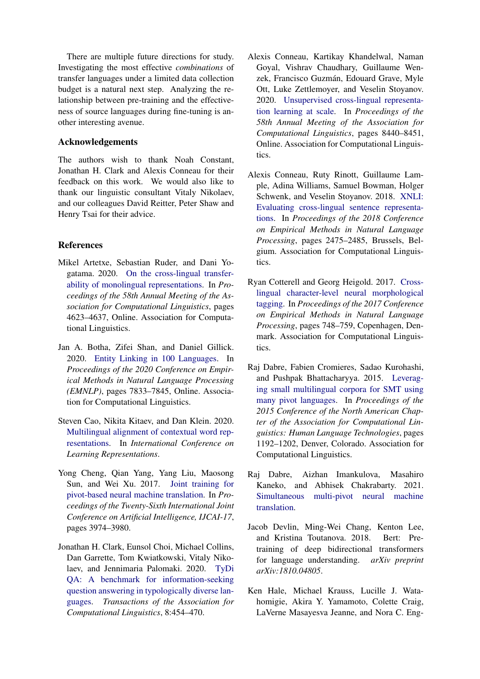There are multiple future directions for study. Investigating the most effective *combinations* of transfer languages under a limited data collection budget is a natural next step. Analyzing the relationship between pre-training and the effectiveness of source languages during fine-tuning is another interesting avenue.

# Acknowledgements

The authors wish to thank Noah Constant, Jonathan H. Clark and Alexis Conneau for their feedback on this work. We would also like to thank our linguistic consultant Vitaly Nikolaev, and our colleagues David Reitter, Peter Shaw and Henry Tsai for their advice.

# References

- <span id="page-8-11"></span>Mikel Artetxe, Sebastian Ruder, and Dani Yogatama. 2020. [On the cross-lingual transfer](https://doi.org/10.18653/v1/2020.acl-main.421)[ability of monolingual representations.](https://doi.org/10.18653/v1/2020.acl-main.421) In *Proceedings of the 58th Annual Meeting of the Association for Computational Linguistics*, pages 4623–4637, Online. Association for Computational Linguistics.
- <span id="page-8-7"></span>Jan A. Botha, Zifei Shan, and Daniel Gillick. 2020. [Entity Linking in 100 Languages.](https://www.aclweb.org/anthology/2020.emnlp-main.630) In *Proceedings of the 2020 Conference on Empirical Methods in Natural Language Processing (EMNLP)*, pages 7833–7845, Online. Association for Computational Linguistics.
- <span id="page-8-6"></span>Steven Cao, Nikita Kitaev, and Dan Klein. 2020. [Multilingual alignment of contextual word rep](https://openreview.net/forum?id=r1xCMyBtPS)[resentations.](https://openreview.net/forum?id=r1xCMyBtPS) In *International Conference on Learning Representations*.
- <span id="page-8-8"></span>Yong Cheng, Qian Yang, Yang Liu, Maosong Sun, and Wei Xu. 2017. [Joint training for](https://doi.org/10.24963/ijcai.2017/555) [pivot-based neural machine translation.](https://doi.org/10.24963/ijcai.2017/555) In *Proceedings of the Twenty-Sixth International Joint Conference on Artificial Intelligence, IJCAI-17*, pages 3974–3980.
- <span id="page-8-5"></span>Jonathan H. Clark, Eunsol Choi, Michael Collins, Dan Garrette, Tom Kwiatkowski, Vitaly Nikolaev, and Jennimaria Palomaki. 2020. [TyDi](https://doi.org/10.1162/tacl_a_00317) [QA: A benchmark for information-seeking](https://doi.org/10.1162/tacl_a_00317) [question answering in typologically diverse lan](https://doi.org/10.1162/tacl_a_00317)[guages.](https://doi.org/10.1162/tacl_a_00317) *Transactions of the Association for Computational Linguistics*, 8:454–470.
- <span id="page-8-2"></span>Alexis Conneau, Kartikay Khandelwal, Naman Goyal, Vishrav Chaudhary, Guillaume Wenzek, Francisco Guzmán, Edouard Grave, Myle Ott, Luke Zettlemoyer, and Veselin Stoyanov. 2020. [Unsupervised cross-lingual representa](https://doi.org/10.18653/v1/2020.acl-main.747)[tion learning at scale.](https://doi.org/10.18653/v1/2020.acl-main.747) In *Proceedings of the 58th Annual Meeting of the Association for Computational Linguistics*, pages 8440–8451, Online. Association for Computational Linguistics.
- <span id="page-8-4"></span>Alexis Conneau, Ruty Rinott, Guillaume Lample, Adina Williams, Samuel Bowman, Holger Schwenk, and Veselin Stoyanov. 2018. [XNLI:](https://doi.org/10.18653/v1/D18-1269) [Evaluating cross-lingual sentence representa](https://doi.org/10.18653/v1/D18-1269)[tions.](https://doi.org/10.18653/v1/D18-1269) In *Proceedings of the 2018 Conference on Empirical Methods in Natural Language Processing*, pages 2475–2485, Brussels, Belgium. Association for Computational Linguistics.
- <span id="page-8-3"></span>Ryan Cotterell and Georg Heigold. 2017. [Cross](https://doi.org/10.18653/v1/D17-1078)[lingual character-level neural morphological](https://doi.org/10.18653/v1/D17-1078) [tagging.](https://doi.org/10.18653/v1/D17-1078) In *Proceedings of the 2017 Conference on Empirical Methods in Natural Language Processing*, pages 748–759, Copenhagen, Denmark. Association for Computational Linguistics.
- <span id="page-8-10"></span>Raj Dabre, Fabien Cromieres, Sadao Kurohashi, and Pushpak Bhattacharyya. 2015. [Leverag](https://doi.org/10.3115/v1/N15-1125)[ing small multilingual corpora for SMT using](https://doi.org/10.3115/v1/N15-1125) [many pivot languages.](https://doi.org/10.3115/v1/N15-1125) In *Proceedings of the 2015 Conference of the North American Chapter of the Association for Computational Linguistics: Human Language Technologies*, pages 1192–1202, Denver, Colorado. Association for Computational Linguistics.
- <span id="page-8-9"></span>Raj Dabre, Aizhan Imankulova, Masahiro Kaneko, and Abhisek Chakrabarty. 2021. [Simultaneous multi-pivot neural machine](http://arxiv.org/abs/2104.07410) [translation.](http://arxiv.org/abs/2104.07410)
- <span id="page-8-1"></span>Jacob Devlin, Ming-Wei Chang, Kenton Lee, and Kristina Toutanova. 2018. Bert: Pretraining of deep bidirectional transformers for language understanding. *arXiv preprint arXiv:1810.04805*.
- <span id="page-8-0"></span>Ken Hale, Michael Krauss, Lucille J. Watahomigie, Akira Y. Yamamoto, Colette Craig, LaVerne Masayesva Jeanne, and Nora C. Eng-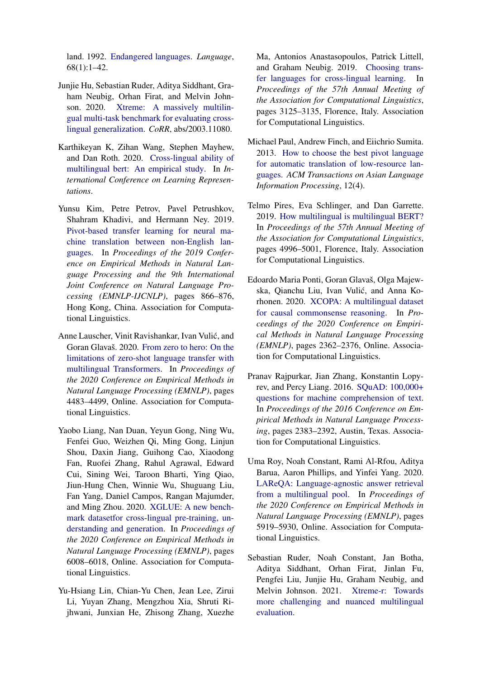land. 1992. [Endangered languages.](http://www.jstor.org/stable/416368) *Language*, 68(1):1–42.

- <span id="page-9-1"></span>Junjie Hu, Sebastian Ruder, Aditya Siddhant, Graham Neubig, Orhan Firat, and Melvin Johnson. 2020. [Xtreme: A massively multilin](http://arxiv.org/abs/2003.11080)[gual multi-task benchmark for evaluating cross](http://arxiv.org/abs/2003.11080)[lingual generalization.](http://arxiv.org/abs/2003.11080) *CoRR*, abs/2003.11080.
- <span id="page-9-6"></span>Karthikeyan K, Zihan Wang, Stephen Mayhew, and Dan Roth. 2020. [Cross-lingual ability of](https://openreview.net/forum?id=HJeT3yrtDr) [multilingual bert: An empirical study.](https://openreview.net/forum?id=HJeT3yrtDr) In *International Conference on Learning Representations*.
- <span id="page-9-9"></span>Yunsu Kim, Petre Petrov, Pavel Petrushkov, Shahram Khadivi, and Hermann Ney. 2019. [Pivot-based transfer learning for neural ma](https://doi.org/10.18653/v1/D19-1080)[chine translation between non-English lan](https://doi.org/10.18653/v1/D19-1080)[guages.](https://doi.org/10.18653/v1/D19-1080) In *Proceedings of the 2019 Conference on Empirical Methods in Natural Language Processing and the 9th International Joint Conference on Natural Language Processing (EMNLP-IJCNLP)*, pages 866–876, Hong Kong, China. Association for Computational Linguistics.
- <span id="page-9-8"></span>Anne Lauscher, Vinit Ravishankar, Ivan Vulic, and ´ Goran Glavaš. 2020. [From zero to hero: On the](https://doi.org/10.18653/v1/2020.emnlp-main.363) [limitations of zero-shot language transfer with](https://doi.org/10.18653/v1/2020.emnlp-main.363) [multilingual Transformers.](https://doi.org/10.18653/v1/2020.emnlp-main.363) In *Proceedings of the 2020 Conference on Empirical Methods in Natural Language Processing (EMNLP)*, pages 4483–4499, Online. Association for Computational Linguistics.
- <span id="page-9-2"></span>Yaobo Liang, Nan Duan, Yeyun Gong, Ning Wu, Fenfei Guo, Weizhen Qi, Ming Gong, Linjun Shou, Daxin Jiang, Guihong Cao, Xiaodong Fan, Ruofei Zhang, Rahul Agrawal, Edward Cui, Sining Wei, Taroon Bharti, Ying Qiao, Jiun-Hung Chen, Winnie Wu, Shuguang Liu, Fan Yang, Daniel Campos, Rangan Majumder, and Ming Zhou. 2020. [XGLUE: A new bench](https://doi.org/10.18653/v1/2020.emnlp-main.484)[mark datasetfor cross-lingual pre-training, un](https://doi.org/10.18653/v1/2020.emnlp-main.484)[derstanding and generation.](https://doi.org/10.18653/v1/2020.emnlp-main.484) In *Proceedings of the 2020 Conference on Empirical Methods in Natural Language Processing (EMNLP)*, pages 6008–6018, Online. Association for Computational Linguistics.
- <span id="page-9-4"></span>Yu-Hsiang Lin, Chian-Yu Chen, Jean Lee, Zirui Li, Yuyan Zhang, Mengzhou Xia, Shruti Rijhwani, Junxian He, Zhisong Zhang, Xuezhe

Ma, Antonios Anastasopoulos, Patrick Littell, and Graham Neubig. 2019. [Choosing trans](https://doi.org/10.18653/v1/P19-1301)[fer languages for cross-lingual learning.](https://doi.org/10.18653/v1/P19-1301) In *Proceedings of the 57th Annual Meeting of the Association for Computational Linguistics*, pages 3125–3135, Florence, Italy. Association for Computational Linguistics.

- <span id="page-9-10"></span>Michael Paul, Andrew Finch, and Eiichrio Sumita. 2013. [How to choose the best pivot language](https://doi.org/10.1145/2505126) [for automatic translation of low-resource lan](https://doi.org/10.1145/2505126)[guages.](https://doi.org/10.1145/2505126) *ACM Transactions on Asian Language Information Processing*, 12(4).
- <span id="page-9-0"></span>Telmo Pires, Eva Schlinger, and Dan Garrette. 2019. [How multilingual is multilingual BERT?](https://doi.org/10.18653/v1/P19-1493) In *Proceedings of the 57th Annual Meeting of the Association for Computational Linguistics*, pages 4996–5001, Florence, Italy. Association for Computational Linguistics.
- <span id="page-9-5"></span>Edoardo Maria Ponti, Goran Glavaš, Olga Majewska, Qianchu Liu, Ivan Vulić, and Anna Korhonen. 2020. [XCOPA: A multilingual dataset](https://doi.org/10.18653/v1/2020.emnlp-main.185) [for causal commonsense reasoning.](https://doi.org/10.18653/v1/2020.emnlp-main.185) In *Proceedings of the 2020 Conference on Empirical Methods in Natural Language Processing (EMNLP)*, pages 2362–2376, Online. Association for Computational Linguistics.
- <span id="page-9-11"></span>Pranav Rajpurkar, Jian Zhang, Konstantin Lopyrev, and Percy Liang. 2016. [SQuAD: 100,000+](https://doi.org/10.18653/v1/D16-1264) [questions for machine comprehension of text.](https://doi.org/10.18653/v1/D16-1264) In *Proceedings of the 2016 Conference on Empirical Methods in Natural Language Processing*, pages 2383–2392, Austin, Texas. Association for Computational Linguistics.
- <span id="page-9-7"></span>Uma Roy, Noah Constant, Rami Al-Rfou, Aditya Barua, Aaron Phillips, and Yinfei Yang. 2020. [LAReQA: Language-agnostic answer retrieval](https://doi.org/10.18653/v1/2020.emnlp-main.477) [from a multilingual pool.](https://doi.org/10.18653/v1/2020.emnlp-main.477) In *Proceedings of the 2020 Conference on Empirical Methods in Natural Language Processing (EMNLP)*, pages 5919–5930, Online. Association for Computational Linguistics.
- <span id="page-9-3"></span>Sebastian Ruder, Noah Constant, Jan Botha, Aditya Siddhant, Orhan Firat, Jinlan Fu, Pengfei Liu, Junjie Hu, Graham Neubig, and Melvin Johnson. 2021. [Xtreme-r: Towards](http://arxiv.org/abs/2104.07412) [more challenging and nuanced multilingual](http://arxiv.org/abs/2104.07412) [evaluation.](http://arxiv.org/abs/2104.07412)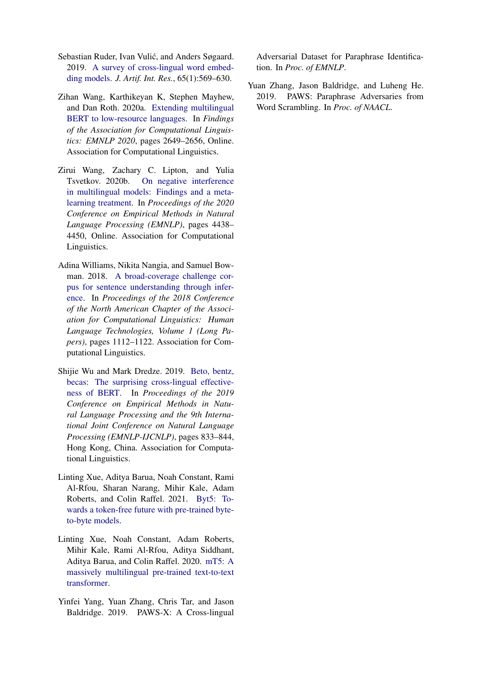- <span id="page-10-0"></span>Sebastian Ruder, Ivan Vulić, and Anders Søgaard. 2019. [A survey of cross-lingual word embed](https://doi.org/10.1613/jair.1.11640)[ding models.](https://doi.org/10.1613/jair.1.11640) *J. Artif. Int. Res.*, 65(1):569–630.
- <span id="page-10-3"></span>Zihan Wang, Karthikeyan K, Stephen Mayhew, and Dan Roth. 2020a. [Extending multilingual](https://doi.org/10.18653/v1/2020.findings-emnlp.240) [BERT to low-resource languages.](https://doi.org/10.18653/v1/2020.findings-emnlp.240) In *Findings of the Association for Computational Linguistics: EMNLP 2020*, pages 2649–2656, Online. Association for Computational Linguistics.
- <span id="page-10-4"></span>Zirui Wang, Zachary C. Lipton, and Yulia Tsvetkov. 2020b. [On negative interference](https://doi.org/10.18653/v1/2020.emnlp-main.359) [in multilingual models: Findings and a meta](https://doi.org/10.18653/v1/2020.emnlp-main.359)[learning treatment.](https://doi.org/10.18653/v1/2020.emnlp-main.359) In *Proceedings of the 2020 Conference on Empirical Methods in Natural Language Processing (EMNLP)*, pages 4438– 4450, Online. Association for Computational Linguistics.
- <span id="page-10-5"></span>Adina Williams, Nikita Nangia, and Samuel Bowman. 2018. [A broad-coverage challenge cor](http://aclweb.org/anthology/N18-1101)[pus for sentence understanding through infer](http://aclweb.org/anthology/N18-1101)[ence.](http://aclweb.org/anthology/N18-1101) In *Proceedings of the 2018 Conference of the North American Chapter of the Association for Computational Linguistics: Human Language Technologies, Volume 1 (Long Papers)*, pages 1112–1122. Association for Computational Linguistics.
- <span id="page-10-2"></span>Shijie Wu and Mark Dredze. 2019. [Beto, bentz,](https://doi.org/10.18653/v1/D19-1077) [becas: The surprising cross-lingual effective](https://doi.org/10.18653/v1/D19-1077)[ness of BERT.](https://doi.org/10.18653/v1/D19-1077) In *Proceedings of the 2019 Conference on Empirical Methods in Natural Language Processing and the 9th International Joint Conference on Natural Language Processing (EMNLP-IJCNLP)*, pages 833–844, Hong Kong, China. Association for Computational Linguistics.
- <span id="page-10-8"></span>Linting Xue, Aditya Barua, Noah Constant, Rami Al-Rfou, Sharan Narang, Mihir Kale, Adam Roberts, and Colin Raffel. 2021. [Byt5: To](http://arxiv.org/abs/2105.13626)[wards a token-free future with pre-trained byte](http://arxiv.org/abs/2105.13626)[to-byte models.](http://arxiv.org/abs/2105.13626)
- <span id="page-10-1"></span>Linting Xue, Noah Constant, Adam Roberts, Mihir Kale, Rami Al-Rfou, Aditya Siddhant, Aditya Barua, and Colin Raffel. 2020. [mT5: A](http://arxiv.org/abs/2010.11934) [massively multilingual pre-trained text-to-text](http://arxiv.org/abs/2010.11934) [transformer.](http://arxiv.org/abs/2010.11934)
- <span id="page-10-6"></span>Yinfei Yang, Yuan Zhang, Chris Tar, and Jason Baldridge. 2019. PAWS-X: A Cross-lingual

Adversarial Dataset for Paraphrase Identification. In *Proc. of EMNLP*.

<span id="page-10-7"></span>Yuan Zhang, Jason Baldridge, and Luheng He. 2019. PAWS: Paraphrase Adversaries from Word Scrambling. In *Proc. of NAACL*.